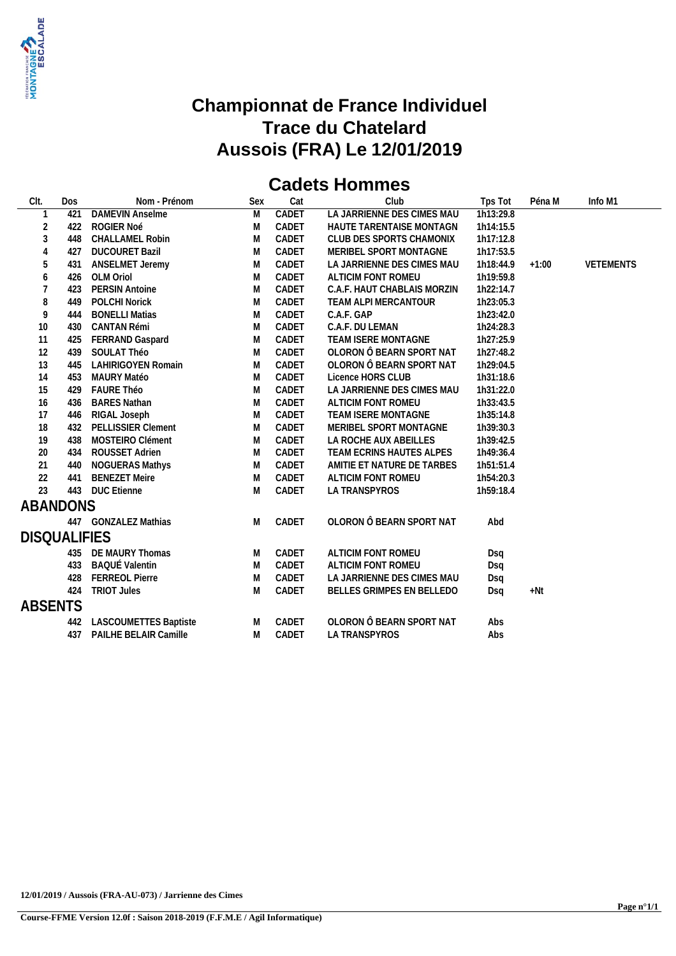

# **Cadets Hommes**

| CIt.                              | Dos | Nom - Prénom              | Sex | Cat   | Club                        | Tps Tot   | Péna M  | Info M1          |
|-----------------------------------|-----|---------------------------|-----|-------|-----------------------------|-----------|---------|------------------|
|                                   | 421 | <b>DAMEVIN Anselme</b>    | M   | CADET | LA JARRIENNE DES CIMES MAU  | 1h13:29.8 |         |                  |
| $\overline{2}$                    | 422 | ROGIER Noé                | M   | CADET | HAUTE TARENTAISE MONTAGN    | 1h14:15.5 |         |                  |
| $\overline{3}$                    | 448 | <b>CHALLAMEL Robin</b>    | M   | CADET | CLUB DES SPORTS CHAMONIX    | 1h17:12.8 |         |                  |
| $\overline{4}$                    | 427 | <b>DUCOURET Bazil</b>     | M   | CADET | MERIBEL SPORT MONTAGNE      | 1h17:53.5 |         |                  |
| 5                                 | 431 | ANSELMET Jeremy           | M   | CADET | LA JARRIENNE DES CIMES MAU  | 1h18:44.9 | $+1:00$ | <b>VETEMENTS</b> |
| $\boldsymbol{6}$                  | 426 | OLM Oriol                 | M   | CADET | ALTICIM FONT ROMEU          | 1h19:59.8 |         |                  |
| $\overline{7}$                    | 423 | <b>PERSIN Antoine</b>     | M   | CADET | C.A.F. HAUT CHABLAIS MORZIN | 1h22:14.7 |         |                  |
| 8                                 | 449 | <b>POLCHI Norick</b>      | M   | CADET | TEAM ALPI MERCANTOUR        | 1h23:05.3 |         |                  |
| $\mathsf{g}% _{T}=\mathsf{g}_{T}$ | 444 | <b>BONELLI Matias</b>     | M   | CADET | C.A.F. GAP                  | 1h23:42.0 |         |                  |
| 10                                | 430 | <b>CANTAN Rémi</b>        | M   | CADET | C.A.F. DU LEMAN             | 1h24:28.3 |         |                  |
| 11                                | 425 | FERRAND Gaspard           | M   | CADET | TEAM ISERE MONTAGNE         | 1h27:25.9 |         |                  |
| 12                                | 439 | SOULAT Théo               | M   | CADET | OLORON Ô BEARN SPORT NAT    | 1h27:48.2 |         |                  |
| 13                                | 445 | <b>LAHIRIGOYEN Romain</b> | M   | CADET | OLORON Ô BEARN SPORT NAT    | 1h29:04.5 |         |                  |
| 14                                | 453 | MAURY Matéo               | M   | CADET | Licence HORS CLUB           | 1h31:18.6 |         |                  |
| 15                                | 429 | <b>FAURE Théo</b>         | M   | CADET | LA JARRIENNE DES CIMES MAU  | 1h31:22.0 |         |                  |
| 16                                | 436 | <b>BARES Nathan</b>       | M   | CADET | ALTICIM FONT ROMEU          | 1h33:43.5 |         |                  |
| 17                                | 446 | RIGAL Joseph              | M   | CADET | TEAM ISERE MONTAGNE         | 1h35:14.8 |         |                  |
| 18                                | 432 | <b>PELLISSIER Clement</b> | M   | CADET | MERIBEL SPORT MONTAGNE      | 1h39:30.3 |         |                  |
| 19                                | 438 | MOSTEIRO Clément          | M   | CADET | LA ROCHE AUX ABEILLES       | 1h39:42.5 |         |                  |
| 20                                | 434 | ROUSSET Adrien            | M   | CADET | TEAM ECRINS HAUTES ALPES    | 1h49:36.4 |         |                  |
| 21                                | 440 | NOGUERAS Mathys           | M   | CADET | AMITIE ET NATURE DE TARBES  | 1h51:51.4 |         |                  |
| 22                                | 441 | <b>BENEZET Meire</b>      | M   | CADET | ALTICIM FONT ROMEU          | 1h54:20.3 |         |                  |
| 23                                |     | 443 DUC Etienne           | M   | CADET | LA TRANSPYROS               | 1h59:18.4 |         |                  |
| ABANDONS                          |     |                           |     |       |                             |           |         |                  |
|                                   |     | 447 GONZALEZ Mathias      | M   | CADET | OLORON Ô BEARN SPORT NAT    | Abd       |         |                  |
|                                   |     |                           |     |       |                             |           |         |                  |
| <b>DISQUALIFIES</b>               |     |                           |     |       |                             |           |         |                  |
|                                   | 435 | DE MAURY Thomas           | M   | CADET | ALTICIM FONT ROMEU          | Dsq       |         |                  |
|                                   | 433 | <b>BAQUÉ Valentin</b>     | M   | CADET | ALTICIM FONT ROMEU          | Dsq       |         |                  |
|                                   | 428 | <b>FERREOL Pierre</b>     | M   | CADET | LA JARRIENNE DES CIMES MAU  | Dsq       |         |                  |
|                                   | 424 | <b>TRIOT Jules</b>        | M   | CADET | BELLES GRIMPES EN BELLEDO   | Dsq       | $+Nt$   |                  |
| <b>ABSENTS</b>                    |     |                           |     |       |                             |           |         |                  |
|                                   | 442 | LASCOUMETTES Baptiste     | M   | CADET | OLORON Ô BEARN SPORT NAT    | Abs       |         |                  |
|                                   | 437 | PAILHE BELAIR Camille     | M   | CADET | <b>LA TRANSPYROS</b>        | Abs       |         |                  |
|                                   |     |                           |     |       |                             |           |         |                  |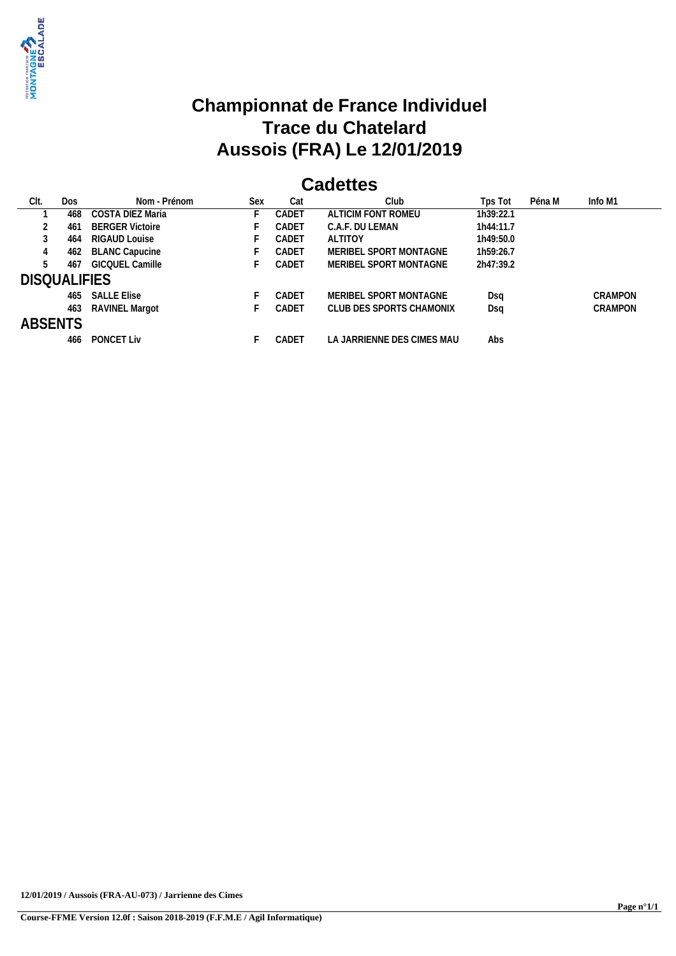

#### **Cadettes**

| CIt.                | Dos | Nom - Prénom           | Sex | Cat   | Club                       | Tps Tot   | Péna M | Info M1        |
|---------------------|-----|------------------------|-----|-------|----------------------------|-----------|--------|----------------|
|                     | 468 | COSTA DIEZ Maria       |     | CADET | ALTICIM FONT ROMEU         | 1h39:22.1 |        |                |
|                     | 461 | <b>BERGER Victoire</b> |     | CADET | C.A.F. DU LEMAN            | 1h44:11.7 |        |                |
|                     | 464 | RIGAUD Louise          |     | CADET | ALTITOY                    | 1h49:50.0 |        |                |
|                     | 462 | <b>BLANC Capucine</b>  |     | CADET | MERIBEL SPORT MONTAGNE     | 1h59:26.7 |        |                |
|                     | 467 | <b>GICQUEL Camille</b> |     | CADET | MERIBEL SPORT MONTAGNE     | 2h47:39.2 |        |                |
| <b>DISQUALIFIES</b> |     |                        |     |       |                            |           |        |                |
|                     | 465 | <b>SALLE Elise</b>     |     | CADET | MERIBEL SPORT MONTAGNE     | Dsa       |        | <b>CRAMPON</b> |
|                     | 463 | RAVINEL Margot         |     | CADET | CLUB DES SPORTS CHAMONIX   | Dsa       |        | <b>CRAMPON</b> |
| <b>ABSENTS</b>      |     |                        |     |       |                            |           |        |                |
|                     | 466 | <b>PONCET Liv</b>      |     | CADET | LA JARRIENNE DES CIMES MAU | Abs       |        |                |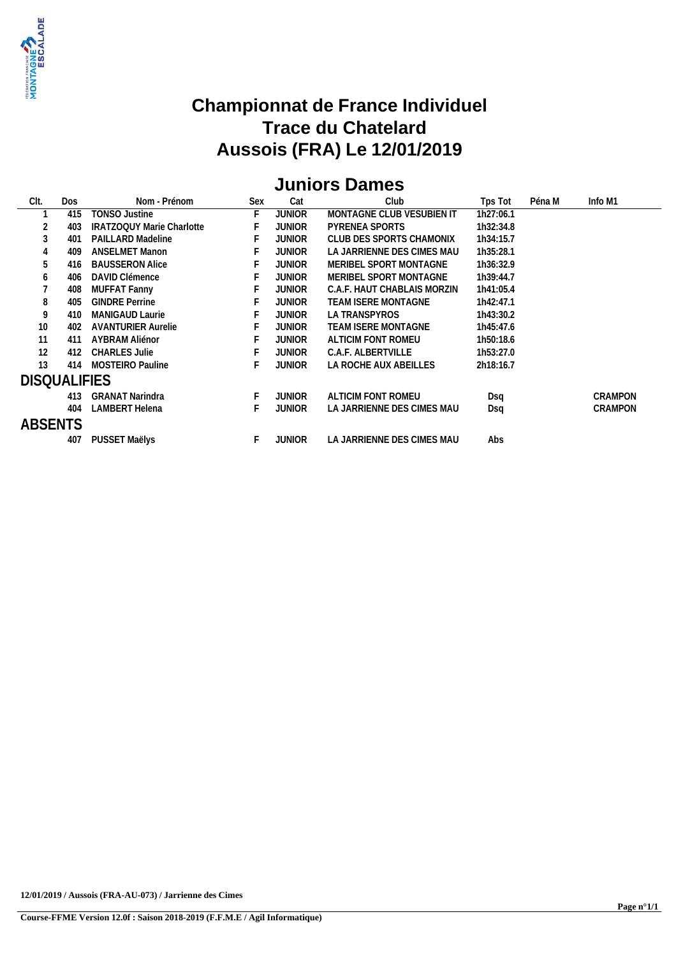

# **Juniors Dames**

| CIt.                | Dos | Nom - Prénom                     | <b>Sex</b> | Cat           | Club                        | Tps Tot   | Péna M | Info M1        |
|---------------------|-----|----------------------------------|------------|---------------|-----------------------------|-----------|--------|----------------|
|                     | 415 | TONSO Justine                    | F          | <b>JUNIOR</b> | MONTAGNE CLUB VESUBIEN IT   | 1h27:06.1 |        |                |
|                     | 403 | <b>IRATZOQUY Marie Charlotte</b> |            | JUNIOR        | PYRENEA SPORTS              | 1h32:34.8 |        |                |
| 3                   | 401 | <b>PAILLARD Madeline</b>         |            | JUNIOR        | CLUB DES SPORTS CHAMONIX    | 1h34:15.7 |        |                |
|                     | 409 | <b>ANSELMET Manon</b>            |            | JUNIOR        | LA JARRIENNE DES CIMES MAU  | 1h35:28.1 |        |                |
| 5                   | 416 | <b>BAUSSERON Alice</b>           |            | JUNIOR        | MERIBEL SPORT MONTAGNE      | 1h36:32.9 |        |                |
| b                   | 406 | DAVID Clémence                   |            | JUNIOR        | MERIBEL SPORT MONTAGNE      | 1h39:44.7 |        |                |
|                     | 408 | <b>MUFFAT Fanny</b>              |            | JUNIOR        | C.A.F. HAUT CHABLAIS MORZIN | 1h41:05.4 |        |                |
| 8                   | 405 | <b>GINDRE Perrine</b>            |            | JUNIOR        | TEAM ISERE MONTAGNE         | 1h42:47.1 |        |                |
| 9                   | 410 | MANIGAUD Laurie                  |            | JUNIOR        | LA TRANSPYROS               | 1h43:30.2 |        |                |
| 10                  | 402 | <b>AVANTURIER Aurelie</b>        |            | JUNIOR        | TEAM ISERE MONTAGNE         | 1h45:47.6 |        |                |
| 11                  | 411 | AYBRAM Aliénor                   |            | JUNIOR        | ALTICIM FONT ROMEU          | 1h50:18.6 |        |                |
| 12                  | 412 | <b>CHARLES Julie</b>             |            | JUNIOR        | C.A.F. ALBERTVILLE          | 1h53:27.0 |        |                |
| 13                  | 414 | <b>MOSTEIRO Pauline</b>          |            | JUNIOR        | LA ROCHE AUX ABEILLES       | 2h18:16.7 |        |                |
| <b>DISQUALIFIES</b> |     |                                  |            |               |                             |           |        |                |
|                     | 413 | <b>GRANAT Narindra</b>           |            | <b>JUNIOR</b> | ALTICIM FONT ROMEU          | Dsq       |        | <b>CRAMPON</b> |
|                     | 404 | LAMBERT Helena                   |            | JUNIOR        | LA JARRIENNE DES CIMES MAU  | Dsq       |        | CRAMPON        |
| <b>ABSENTS</b>      |     |                                  |            |               |                             |           |        |                |
|                     | 407 | PUSSET Maëlys                    | F          | <b>JUNIOR</b> | LA JARRIENNE DES CIMES MAU  | Abs       |        |                |
|                     |     |                                  |            |               |                             |           |        |                |